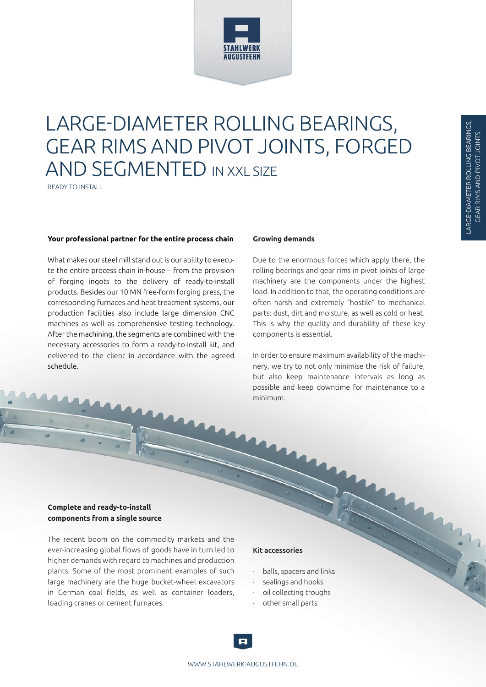

# LARGE-DIAMETER ROLLING BEARINGS, GEAR RIMS AND PIVOT JOINTS, FORGED AND SEGMENTED IN XXL SIZE

READY TO INSTALL

#### **Your professional partner for the entire process chain**

What makes our steel mill stand out is our ability to execute the entire process chain in-house – from the provision of forging ingots to the delivery of ready-to-install products. Besides our 10 MN free-form forging press, the corresponding furnaces and heat treatment systems, our production facilities also include large dimension CNC machines as well as comprehensive testing technology. After the machining, the segments are combined with the necessary accessories to form a ready-to-install kit, and delivered to the client in accordance with the agreed schedule.

#### **Growing demands**

Due to the enormous forces which apply there, the rolling bearings and gear rims in pivot joints of large machinery are the components under the highest load. In addition to that, the operating conditions are often harsh and extremely "hostile" to mechanical parts: dust, dirt and moisture, as well as cold or heat. This is why the quality and durability of these key components is essential.

In order to ensure maximum availability of the machinery, we try to not only minimise the risk of failure, but also keep maintenance intervals as long as possible and keep downtime for maintenance to a minimum.

#### **Complete and ready-to-install components from a single source**

The recent boom on the commodity markets and the ever-increasing global flows of goods have in turn led to higher demands with regard to machines and production plants. Some of the most prominent examples of such large machinery are the huge bucket-wheel excavators in German coal fields, as well as container loaders, loading cranes or cement furnaces.

#### Kit accessories

- balls, spacers and links
- sealings and hooks
- oil collecting troughs
- · other small parts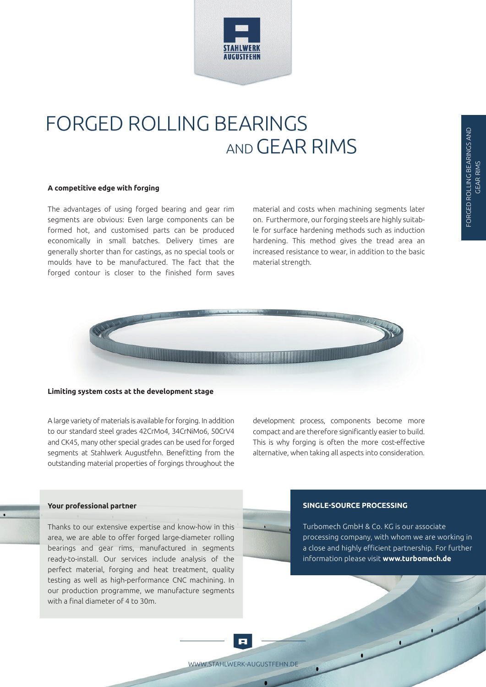

## FORGED ROLLING BEARINGS AND GEAR RIMS

#### **A competitive edge with forging**

The advantages of using forged bearing and gear rim segments are obvious: Even large components can be formed hot, and customised parts can be produced economically in small batches. Delivery times are generally shorter than for castings, as no special tools or moulds have to be manufactured. The fact that the forged contour is closer to the finished form saves material and costs when machining segments later on. Furthermore, our forging steels are highly suitable for surface hardening methods such as induction hardening. This method gives the tread area an increased resistance to wear, in addition to the basic material strength.



#### **Limiting system costs at the development stage**

A large variety of materials is available for forging. In addition to our standard steel grades 42CrMo4, 34CrNiMo6, 50CrV4 and CK45, many other special grades can be used for forged segments at Stahlwerk Augustfehn. Benefitting from the outstanding material properties of forgings throughout the development process, components become more compact and are therefore significantly easier to build. This is why forging is often the more cost-effective alternative, when taking all aspects into consideration.

#### **Your professional partner**

Thanks to our extensive expertise and know-how in this area, we are able to offer forged large-diameter rolling bearings and gear rims, manufactured in segments ready-to-install. Our services include analysis of the perfect material, forging and heat treatment, quality testing as well as high-performance CNC machining. In our production programme, we manufacture segments with a final diameter of 4 to 30m.

#### **SINGLE-SOURCE PROCESSING**

Turbomech GmbH & Co. KG is our associate processing company, with whom we are working in a close and highly efficient partnership. For further information please visit **www.turbomech.de** 

 $\overline{ }$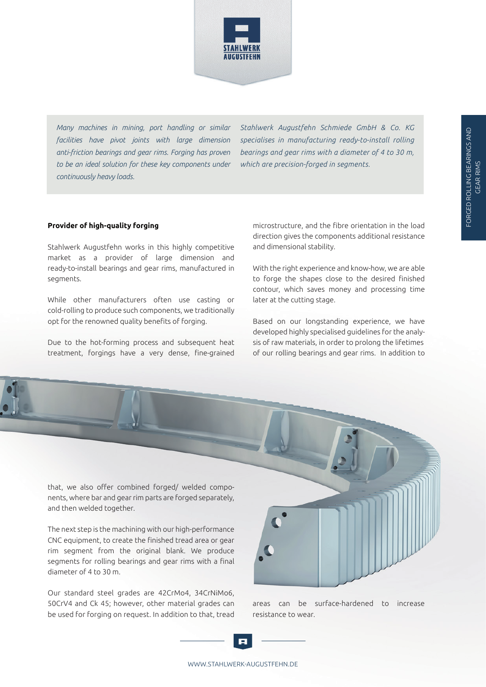

*Many machines in mining, port handling or similar facilities have pivot joints with large dimension anti-friction bearings and gear rims. Forging has proven to be an ideal solution for these key components under continuously heavy loads.* 

*Stahlwerk Augustfehn Schmiede GmbH & Co. KG specialises in manufacturing ready-to-install rolling bearings and gear rims with a diameter of 4 to 30 m, which are precision-forged in segments.* 

#### **Provider of high-quality forging**

Stahlwerk Augustfehn works in this highly competitive market as a provider of large dimension and ready-to-install bearings and gear rims, manufactured in segments.

While other manufacturers often use casting or cold-rolling to produce such components, we traditionally opt for the renowned quality benefits of forging.

Due to the hot-forming process and subsequent heat treatment, forgings have a very dense, fine-grained

microstructure, and the fibre orientation in the load direction gives the components additional resistance and dimensional stability.

With the right experience and know-how, we are able to forge the shapes close to the desired finished contour, which saves money and processing time later at the cutting stage.

Based on our longstanding experience, we have developed highly specialised guidelines for the analysis of raw materials, in order to prolong the lifetimes of our rolling bearings and gear rims. In addition to

that, we also offer combined forged/ welded components, where bar and gear rim parts are forged separately, and then welded together.

The next step is the machining with our high-performance CNC equipment, to create the finished tread area or gear rim segment from the original blank. We produce segments for rolling bearings and gear rims with a final diameter of 4 to 30 m.

Our standard steel grades are 42CrMo4, 34CrNiMo6, 50CrV4 and Ck 45; however, other material grades can be used for forging on request. In addition to that, tread



areas can be surface-hardened to increase resistance to wear.